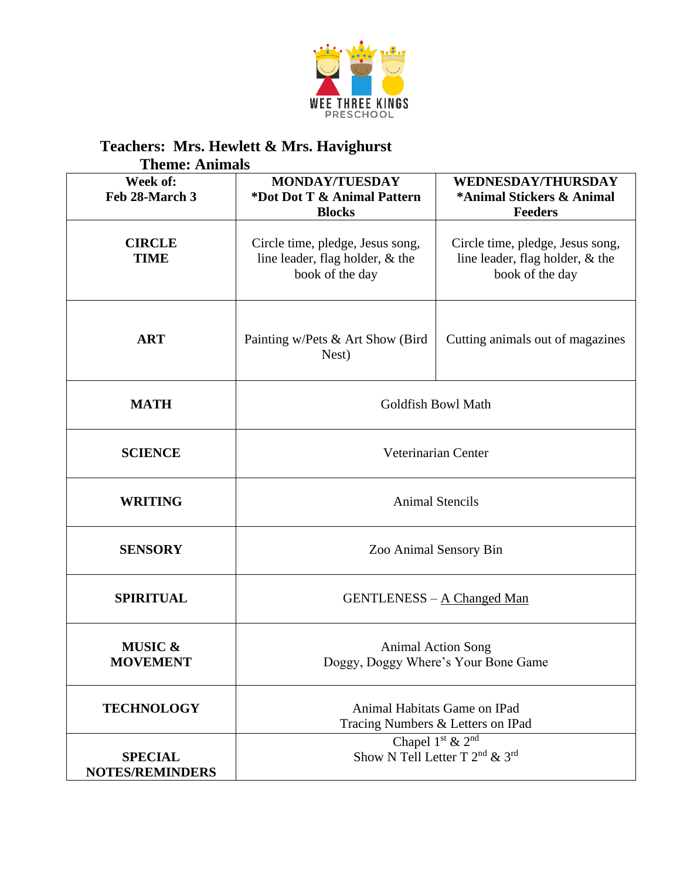

## **Teachers: Mrs. Hewlett & Mrs. Havighurst**

| <b>Theme: Animals</b>                    |                                                                                                    |                                                                                        |  |  |
|------------------------------------------|----------------------------------------------------------------------------------------------------|----------------------------------------------------------------------------------------|--|--|
| Week of:<br>Feb 28-March 3               | <b>MONDAY/TUESDAY</b><br>*Dot Dot T & Animal Pattern<br><b>Blocks</b>                              | <b>WEDNESDAY/THURSDAY</b><br>*Animal Stickers & Animal<br><b>Feeders</b>               |  |  |
| <b>CIRCLE</b><br><b>TIME</b>             | Circle time, pledge, Jesus song,<br>line leader, flag holder, & the<br>book of the day             | Circle time, pledge, Jesus song,<br>line leader, flag holder, & the<br>book of the day |  |  |
| <b>ART</b>                               | Painting w/Pets & Art Show (Bird)<br>Nest)                                                         | Cutting animals out of magazines                                                       |  |  |
| <b>MATH</b>                              | Goldfish Bowl Math                                                                                 |                                                                                        |  |  |
| <b>SCIENCE</b>                           | Veterinarian Center                                                                                |                                                                                        |  |  |
| <b>WRITING</b>                           | <b>Animal Stencils</b>                                                                             |                                                                                        |  |  |
| <b>SENSORY</b>                           | Zoo Animal Sensory Bin                                                                             |                                                                                        |  |  |
| <b>SPIRITUAL</b>                         | <b>GENTLENESS</b> – A Changed Man                                                                  |                                                                                        |  |  |
| <b>MUSIC &amp;</b><br><b>MOVEMENT</b>    | <b>Animal Action Song</b><br>Doggy, Doggy Where's Your Bone Game                                   |                                                                                        |  |  |
| <b>TECHNOLOGY</b>                        | Animal Habitats Game on IPad<br>Tracing Numbers & Letters on IPad                                  |                                                                                        |  |  |
| <b>SPECIAL</b><br><b>NOTES/REMINDERS</b> | Chapel 1 <sup>st</sup> & 2 <sup>nd</sup><br>Show N Tell Letter T 2 <sup>nd</sup> & 3 <sup>rd</sup> |                                                                                        |  |  |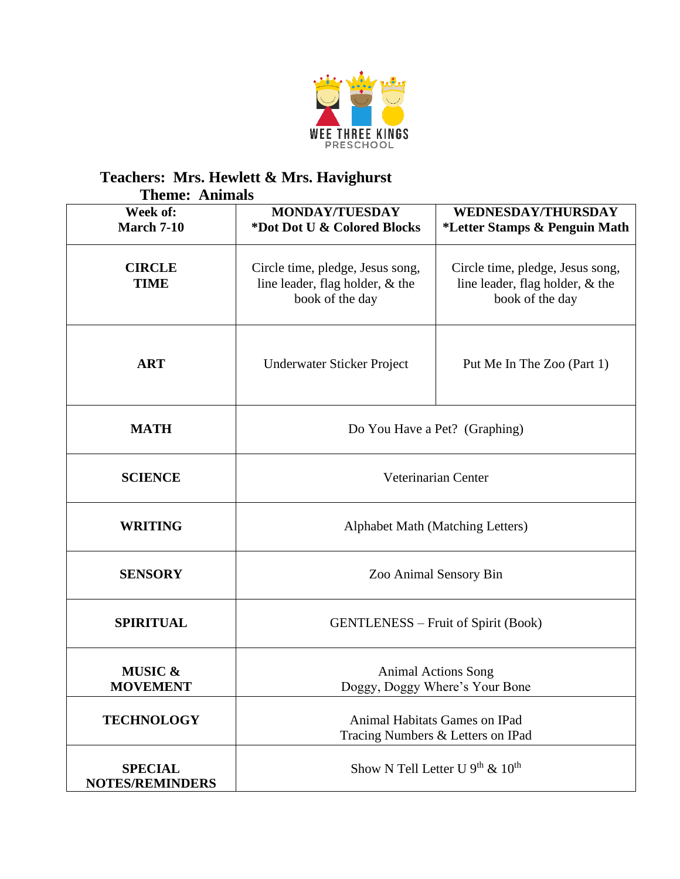

## **Teachers: Mrs. Hewlett & Mrs. Havighurst**

| <b>Theme: Animals</b>                    |                                                                                        |                                                                                        |  |  |
|------------------------------------------|----------------------------------------------------------------------------------------|----------------------------------------------------------------------------------------|--|--|
| Week of:<br><b>March 7-10</b>            | <b>MONDAY/TUESDAY</b><br>*Dot Dot U & Colored Blocks                                   | <b>WEDNESDAY/THURSDAY</b><br>*Letter Stamps & Penguin Math                             |  |  |
| <b>CIRCLE</b><br><b>TIME</b>             | Circle time, pledge, Jesus song,<br>line leader, flag holder, & the<br>book of the day | Circle time, pledge, Jesus song,<br>line leader, flag holder, & the<br>book of the day |  |  |
| <b>ART</b>                               | Underwater Sticker Project                                                             | Put Me In The Zoo (Part 1)                                                             |  |  |
| <b>MATH</b>                              | Do You Have a Pet? (Graphing)                                                          |                                                                                        |  |  |
| <b>SCIENCE</b>                           | Veterinarian Center                                                                    |                                                                                        |  |  |
| <b>WRITING</b>                           | Alphabet Math (Matching Letters)                                                       |                                                                                        |  |  |
| <b>SENSORY</b>                           | Zoo Animal Sensory Bin                                                                 |                                                                                        |  |  |
| <b>SPIRITUAL</b>                         | <b>GENTLENESS</b> – Fruit of Spirit (Book)                                             |                                                                                        |  |  |
| <b>MUSIC &amp;</b><br><b>MOVEMENT</b>    | <b>Animal Actions Song</b><br>Doggy, Doggy Where's Your Bone                           |                                                                                        |  |  |
| <b>TECHNOLOGY</b>                        | Animal Habitats Games on IPad<br>Tracing Numbers & Letters on IPad                     |                                                                                        |  |  |
| <b>SPECIAL</b><br><b>NOTES/REMINDERS</b> | Show N Tell Letter U $9th$ & $10th$                                                    |                                                                                        |  |  |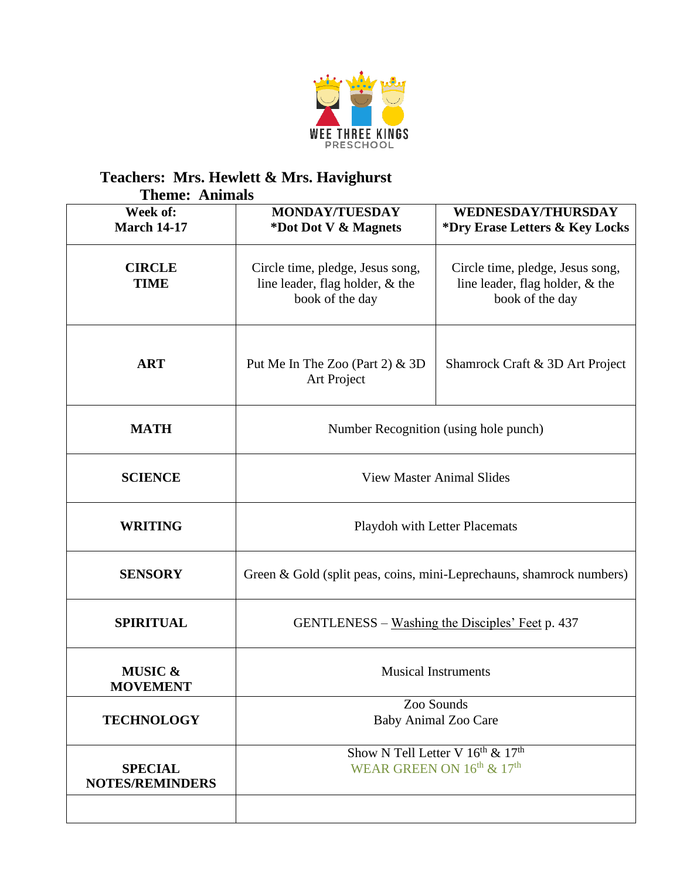

## **Teachers: Mrs. Hewlett & Mrs. Havighurst**

| <b>Theme: Animals</b>                    |                                                                                                     |                                                                                        |  |  |
|------------------------------------------|-----------------------------------------------------------------------------------------------------|----------------------------------------------------------------------------------------|--|--|
| Week of:<br><b>March 14-17</b>           | <b>MONDAY/TUESDAY</b><br>*Dot Dot V & Magnets                                                       | <b>WEDNESDAY/THURSDAY</b><br>*Dry Erase Letters & Key Locks                            |  |  |
| <b>CIRCLE</b><br><b>TIME</b>             | Circle time, pledge, Jesus song,<br>line leader, flag holder, & the<br>book of the day              | Circle time, pledge, Jesus song,<br>line leader, flag holder, & the<br>book of the day |  |  |
| <b>ART</b>                               | Put Me In The Zoo (Part 2) $&$ 3D<br>Art Project                                                    | Shamrock Craft & 3D Art Project                                                        |  |  |
| <b>MATH</b>                              | Number Recognition (using hole punch)                                                               |                                                                                        |  |  |
| <b>SCIENCE</b>                           | <b>View Master Animal Slides</b>                                                                    |                                                                                        |  |  |
| <b>WRITING</b>                           | Playdoh with Letter Placemats                                                                       |                                                                                        |  |  |
| <b>SENSORY</b>                           | Green & Gold (split peas, coins, mini-Leprechauns, shamrock numbers)                                |                                                                                        |  |  |
| <b>SPIRITUAL</b>                         | GENTLENESS – Washing the Disciples' Feet p. 437                                                     |                                                                                        |  |  |
| <b>MUSIC &amp;</b><br><b>MOVEMENT</b>    | <b>Musical Instruments</b>                                                                          |                                                                                        |  |  |
| <b>TECHNOLOGY</b>                        | Zoo Sounds<br><b>Baby Animal Zoo Care</b>                                                           |                                                                                        |  |  |
| <b>SPECIAL</b><br><b>NOTES/REMINDERS</b> | Show N Tell Letter $\sqrt{16^{th} \& 17^{th}}$<br>WEAR GREEN ON 16 <sup>th</sup> & 17 <sup>th</sup> |                                                                                        |  |  |
|                                          |                                                                                                     |                                                                                        |  |  |